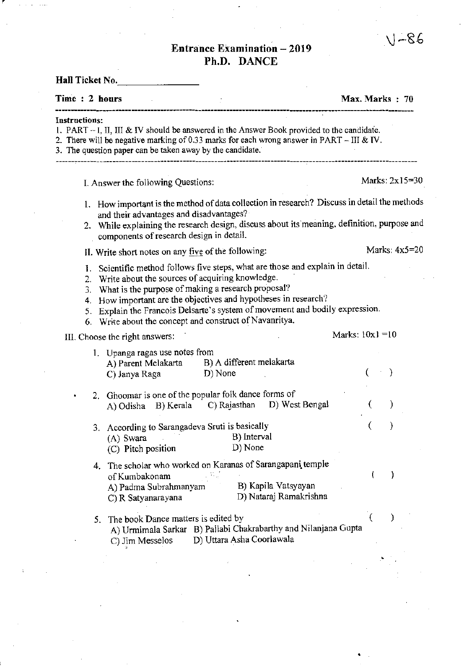## Entrance Examination - 2019 Ph.D. DANCE

Hall Ticket No. Time : 2 hours Max. Marks : 70 Instructions: 1. PART -I, II, III & IV should be answered in the Answer Book provided to the candidafe. 2. There will be negative marking of 0.33 marks for each wrong answer in PART – III & IV. 3. The question paper can be taken away by the candidate. I. Answer the following Questions: Marks:  $2x15=30$ 1. How important is the method of data collection in research? Discuss in detail the methods and their advantages and disadvantages? 2. While explaining the research design, discuss about its'meaning, definition, purpose and components of research design in detail. II. Write short notes on any five of the following: Marks:  $4x5=20$ 1. Scientific method follows five steps, what are those and explain in detail. 2. Write about the sources of acquiring knowledge. 3. What is the purpose of making a research proposal? 4. How important are the objectives and hypotheses in research? 5. Explain the Francois Delsarte's system of movement and bodily expression. 6. Write about the concept and construct of Navanritya. III. Choose the right answers: Marks:  $10x1 = 10$ 1. Upanga ragas use notes from A) Parent Melakarta B) A different melakarta ( ) C) Janya Raga D) None 2. Ghoomar is one of the popular folk dance forms of A) Odisha B) Kerala C) Rajasthan D) West Bengal ( ) 3. According to Sarangadeva Sruti is basically ( ) (A) Swara B) Interval (C) Pitch position D) None 4. The scholar who worked on Karanas of Sarangapani. temple ) of Kumbakonam B) Kapila Vatsyayan A) Padma Subrahmanyam D) Nataraj Ramakrishna C) R Satyanarayana 5. The book Dance matters is edited by A) Urmimala Sarkar B) Pallabi Chakrabarthy and Nilanjana Gupta C) Jim Messelos D) Uttara Asha Coorlawala

•